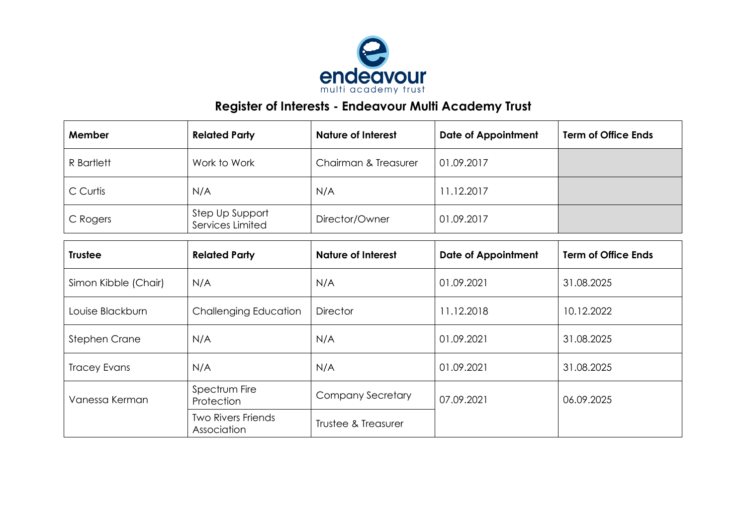

## **Register of Interests - Endeavour Multi Academy Trust**

| Member     | <b>Related Party</b>                | <b>Nature of Interest</b> | <b>Date of Appointment</b> | <b>Term of Office Ends</b> |
|------------|-------------------------------------|---------------------------|----------------------------|----------------------------|
| R Bartlett | Work to Work                        | Chairman & Treasurer      | 01.09.2017                 |                            |
| C Curtis   | N/A                                 | N/A                       | 11.12.2017                 |                            |
| C Rogers   | Step Up Support<br>Services Limited | Director/Owner            | 01.09.2017                 |                            |

| <b>Trustee</b>       | <b>Related Party</b>                     | <b>Nature of Interest</b> | <b>Date of Appointment</b> | <b>Term of Office Ends</b> |
|----------------------|------------------------------------------|---------------------------|----------------------------|----------------------------|
| Simon Kibble (Chair) | N/A                                      | N/A                       | 01.09.2021                 | 31.08.2025                 |
| Louise Blackburn     | <b>Challenging Education</b>             | <b>Director</b>           | 11.12.2018                 | 10.12.2022                 |
| Stephen Crane        | N/A                                      | N/A                       | 01.09.2021                 | 31.08.2025                 |
| <b>Tracey Evans</b>  | N/A                                      | N/A                       | 01.09.2021                 | 31.08.2025                 |
| Vanessa Kerman       | Spectrum Fire<br>Protection              | <b>Company Secretary</b>  | 07.09.2021                 | 06.09.2025                 |
|                      | <b>Two Rivers Friends</b><br>Association | Trustee & Treasurer       |                            |                            |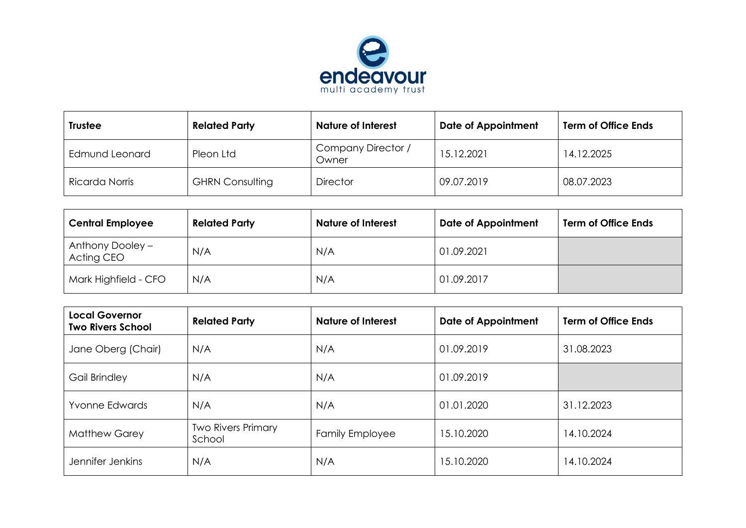

| <b>Trustee</b> | <b>Related Party</b>   | <b>Nature of Interest</b>   | <b>Date of Appointment</b> | <b>Term of Office Ends</b> |
|----------------|------------------------|-----------------------------|----------------------------|----------------------------|
| Edmund Leonard | Pleon Ltd              | Company Director /<br>Owner | 15.12.2021                 | 14.12.2025                 |
| Ricarda Norris | <b>GHRN Consulting</b> | <b>Director</b>             | 09.07.2019                 | 08.07.2023                 |

| <b>Central Employee</b>        | <b>Related Party</b> | <b>Nature of Interest</b> | <b>Date of Appointment</b> | <b>Term of Office Ends</b> |
|--------------------------------|----------------------|---------------------------|----------------------------|----------------------------|
| Anthony Dooley -<br>Acting CEO | N/A                  | N/A                       | 01.09.2021                 |                            |
| Mark Highfield - CFO           | N/A                  | N/A                       | 01.09.2017                 |                            |

| <b>Local Governor</b><br><b>Two Rivers School</b> | <b>Related Party</b>                | <b>Nature of Interest</b> | <b>Date of Appointment</b> | <b>Term of Office Ends</b> |
|---------------------------------------------------|-------------------------------------|---------------------------|----------------------------|----------------------------|
| Jane Oberg (Chair)                                | N/A                                 | N/A                       | 01.09.2019                 | 31.08.2023                 |
| Gail Brindley                                     | N/A                                 | N/A                       | 01.09.2019                 |                            |
| <b>Yvonne Edwards</b>                             | N/A                                 | N/A                       | 01.01.2020                 | 31.12.2023                 |
| <b>Matthew Garey</b>                              | <b>Two Rivers Primary</b><br>School | <b>Family Employee</b>    | 15.10.2020                 | 14.10.2024                 |
| Jennifer Jenkins                                  | N/A                                 | N/A                       | 15.10.2020                 | 14.10.2024                 |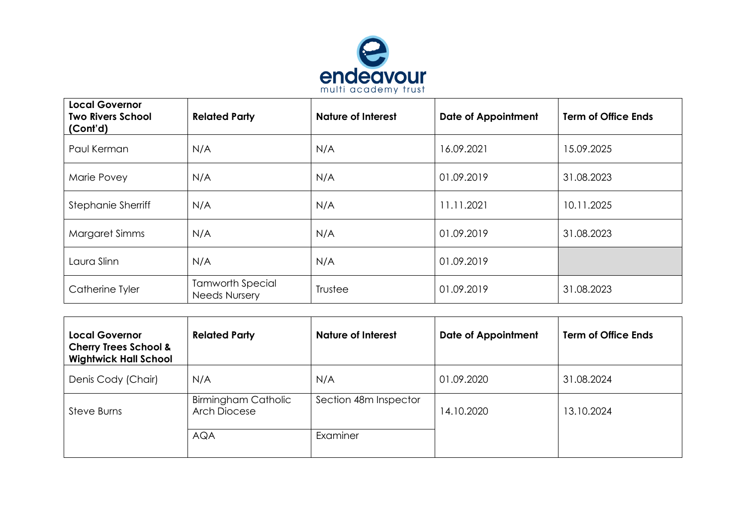

| <b>Local Governor</b><br><b>Two Rivers School</b><br>(Cont'd) | <b>Related Party</b>                            | <b>Nature of Interest</b> | <b>Date of Appointment</b> | <b>Term of Office Ends</b> |
|---------------------------------------------------------------|-------------------------------------------------|---------------------------|----------------------------|----------------------------|
| Paul Kerman                                                   | N/A                                             | N/A                       | 16.09.2021                 | 15.09.2025                 |
| Marie Povey                                                   | N/A                                             | N/A                       | 01.09.2019                 | 31.08.2023                 |
| <b>Stephanie Sherriff</b>                                     | N/A                                             | N/A                       | 11.11.2021                 | 10.11.2025                 |
| Margaret Simms                                                | N/A                                             | N/A                       | 01.09.2019                 | 31.08.2023                 |
| Laura Slinn                                                   | N/A                                             | N/A                       | 01.09.2019                 |                            |
| Catherine Tyler                                               | <b>Tamworth Special</b><br><b>Needs Nursery</b> | Trustee                   | 01.09.2019                 | 31.08.2023                 |

| <b>Local Governor</b><br><b>Cherry Trees School &amp;</b><br><b>Wightwick Hall School</b> | <b>Related Party</b>                              | <b>Nature of Interest</b> | <b>Date of Appointment</b> | <b>Term of Office Ends</b> |
|-------------------------------------------------------------------------------------------|---------------------------------------------------|---------------------------|----------------------------|----------------------------|
| Denis Cody (Chair)                                                                        | N/A                                               | N/A                       | 01.09.2020                 | 31.08.2024                 |
| Steve Burns                                                                               | <b>Birmingham Catholic</b><br><b>Arch Diocese</b> | Section 48m Inspector     | 14.10.2020                 | 13.10.2024                 |
|                                                                                           | <b>AQA</b>                                        | Examiner                  |                            |                            |